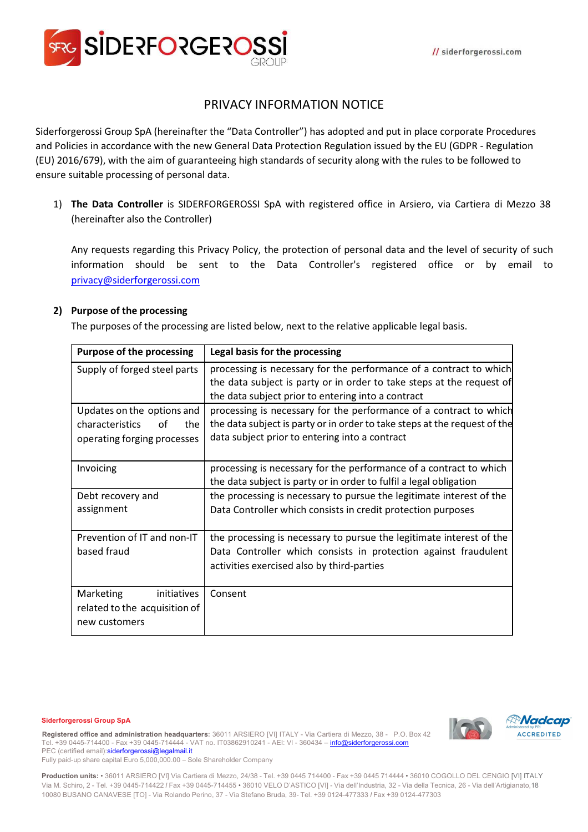

# PRIVACY INFORMATION NOTICE

Siderforgerossi Group SpA (hereinafter the "Data Controller") has adopted and put in place corporate Procedures and Policies in accordance with the new General Data Protection Regulation issued by the EU (GDPR - Regulation (EU) 2016/679), with the aim of guaranteeing high standards of security along with the rules to be followed to ensure suitable processing of personal data.

1) **The Data Controller** is SIDERFORGEROSSI SpA with registered office in Arsiero, via Cartiera di Mezzo 38 (hereinafter also the Controller)

Any requests regarding this Privacy Policy, the protection of personal data and the level of security of such information should be sent to the Data Controller's registered office or by email to privacy@siderforgerossi.com

### **2) Purpose of the processing**

The purposes of the processing are listed below, next to the relative applicable legal basis.

| <b>Purpose of the processing</b> | Legal basis for the processing                                            |
|----------------------------------|---------------------------------------------------------------------------|
| Supply of forged steel parts     | processing is necessary for the performance of a contract to which        |
|                                  | the data subject is party or in order to take steps at the request of     |
|                                  | the data subject prior to entering into a contract                        |
| Updates on the options and       | processing is necessary for the performance of a contract to which        |
| characteristics<br>the<br>of     | the data subject is party or in order to take steps at the request of the |
| operating forging processes      | data subject prior to entering into a contract                            |
|                                  |                                                                           |
| Invoicing                        | processing is necessary for the performance of a contract to which        |
|                                  | the data subject is party or in order to fulfil a legal obligation        |
| Debt recovery and                | the processing is necessary to pursue the legitimate interest of the      |
| assignment                       | Data Controller which consists in credit protection purposes              |
|                                  |                                                                           |
| Prevention of IT and non-IT      | the processing is necessary to pursue the legitimate interest of the      |
| based fraud                      | Data Controller which consists in protection against fraudulent           |
|                                  | activities exercised also by third-parties                                |
|                                  |                                                                           |
| Marketing<br>initiatives         | Consent                                                                   |
| related to the acquisition of    |                                                                           |
| new customers                    |                                                                           |

#### **Siderforgerossi Group SpA**

**Registered office and administration headquarters:** 36011 ARSIERO [VI] ITALY - Via Cartiera di Mezzo, 38 - P.O. Box 42 +39 0445-714400 - Fax +39 0445-714444 - VAT no. IT03862910241 - AEI: VI - 360434 - info@siderforgerossi.com PEC (certified email): siderforgerossi@legalmail.it



**Production units:** • 36011 ARSIERO [VI] Via Cartiera di Mezzo, 24/38 - Tel. +39 0445 714400 - Fax +39 0445 714444 • 36010 COGOLLO DEL CENGIO [VI] ITALY Via M. Schiro, 2 - Tel. +39 0445-714422 l Fax +39 0445-714455 • 36010 VELO D'ASTICO [VI] - Via dell'Industria, 32 - Via della Tecnica, 26 - Via dell'Artigianato,18 10080 BUSANO CANAVESE [TO] - Via Rolando Perino, 37 - Via Stefano Bruda, 39- Tel. +39 0124-477333 l Fax +39 0124-477303

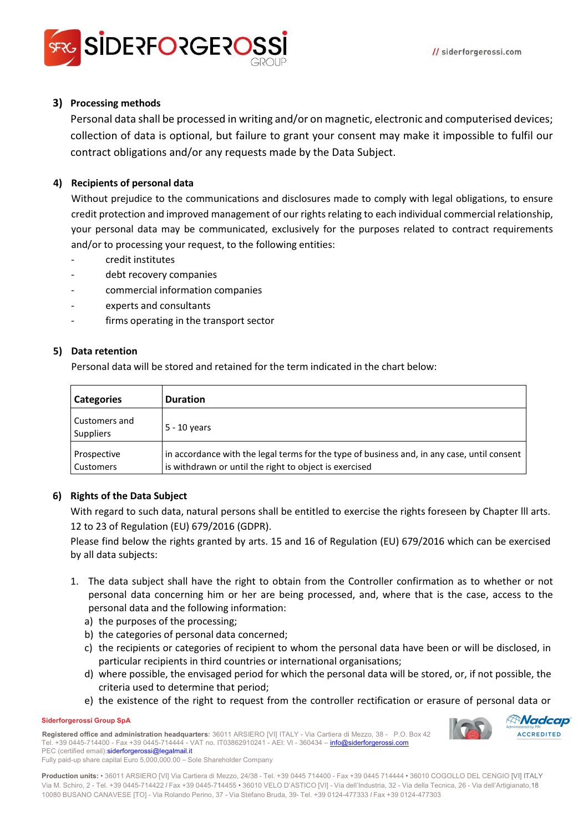

## **3) Processing methods**

Personal data shall be processed in writing and/or on magnetic, electronic and computerised devices; collection of data is optional, but failure to grant your consent may make it impossible to fulfil our contract obligations and/or any requests made by the Data Subject.

### **4) Recipients of personal data**

Without prejudice to the communications and disclosures made to comply with legal obligations, to ensure credit protection and improved management of our rights relating to each individual commercial relationship, your personal data may be communicated, exclusively for the purposes related to contract requirements and/or to processing your request, to the following entities:

- credit institutes
- debt recovery companies
- commercial information companies
- experts and consultants
- firms operating in the transport sector

#### **5) Data retention**

Personal data will be stored and retained for the term indicated in the chart below:

| <b>Categories</b>                 | <b>Duration</b>                                                                                                                                       |
|-----------------------------------|-------------------------------------------------------------------------------------------------------------------------------------------------------|
| Customers and<br><b>Suppliers</b> | $5 - 10$ years                                                                                                                                        |
| Prospective<br>Customers          | in accordance with the legal terms for the type of business and, in any case, until consent<br>is withdrawn or until the right to object is exercised |

#### **6) Rights of the Data Subject**

With regard to such data, natural persons shall be entitled to exercise the rights foreseen by Chapter lll arts. 12 to 23 of Regulation (EU) 679/2016 (GDPR).

Please find below the rights granted by arts. 15 and 16 of Regulation (EU) 679/2016 which can be exercised by all data subjects:

- 1. The data subject shall have the right to obtain from the Controller confirmation as to whether or not personal data concerning him or her are being processed, and, where that is the case, access to the personal data and the following information:
	- a) the purposes of the processing;
	- b) the categories of personal data concerned;
	- c) the recipients or categories of recipient to whom the personal data have been or will be disclosed, in particular recipients in third countries or international organisations;
	- d) where possible, the envisaged period for which the personal data will be stored, or, if not possible, the criteria used to determine that period;
	- e) the existence of the right to request from the controller rectification or erasure of personal data or

#### **Siderforgerossi Group SpA**

**Registered office and administration headquarters:** 36011 ARSIERO [VI] ITALY - Via Cartiera di Mezzo, 38 - P.O. Box 42 +39 0445-714400 - Fax +39 0445-714444 - VAT no. IT03862910241 - AEI: VI - 360434 - info@siderforgerossi.com PEC (certified email): siderforgerossi@legalmail.it



Fully paid-up share capital Euro 5,000,000.00 – Sole Shareholder Company